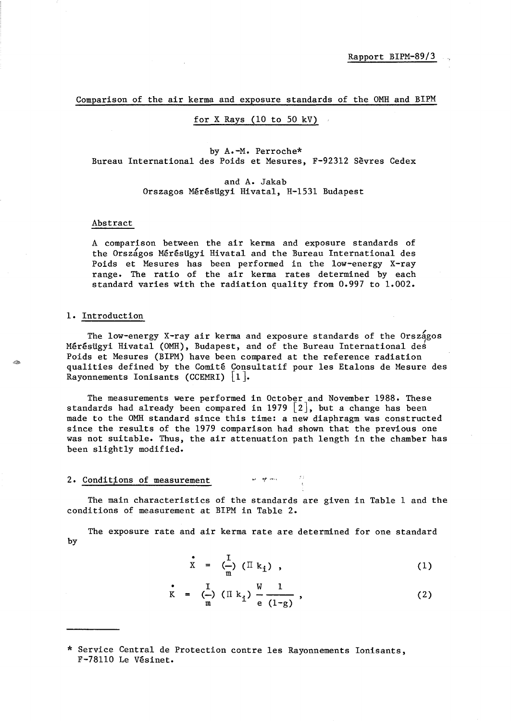Comparison of the air kerma and exposure standards of the OMH and BIPM

### for X Rays (10 to 50 kV)

by A.-M. Perroche\* Bureau International des Poids et Mesures, F-92312 Sevres Cedex

> and A. Jakab Orszagos Mérésügyi Hivatal, H-1531 Budapest

#### Abstract

A comparison between the air kerma and exposure standards of the Országos Mérésügyi Hivatal and the Bureau International des Poids et Mesures has been performed in the low-energy X-ray range. The ratio of the air kerma rates determined by each standard varies with the radiation quality from 0.997 to 1.002.

#### 1. Introduction

The low-energy X-ray air kerma and exposure standards of the Országos Mérésügyi Hivatal (OMH), Budapest, and of the Bureau International des Poids et Mesures (BIPM) have been compared at the reference radiation qualities defined by the Comite Consultatif pour 1es Etalons de Mesure des Rayonnements Ionisants (CCEMRI)  $|1|$ .

The measurements were performed in October and November 1988. These standards had already been compared in 1979  $[2]$ , but a change has been made to the OMH standard since this time: a new diaphragm was constructed since the results of the 1979 comparison had shown that the previous one was not suitable. Thus, the air attenuation path length in the chamber has been slightly modified.

## 2. Conditions of measurement  $\blacksquare$  *I''*

The main characteristics of the standards are given in Table 1 and the conditions of measurement at BIPM in Table 2.

The exposure rate and air kerma rate are determined for one standard by

$$
\dot{\mathbf{x}} = (\frac{1}{m}) (\mathbf{I} \mathbf{k}_1), \qquad (1)
$$

$$
K = \left(\frac{1}{m}\right) \left(\prod k_{i}\right) \frac{W}{e} \frac{1}{(1-g)},
$$
 (2)

<sup>\*</sup> Service Central de Protection contre les Rayonnements Ionisants, F-78110 Le Vesinet.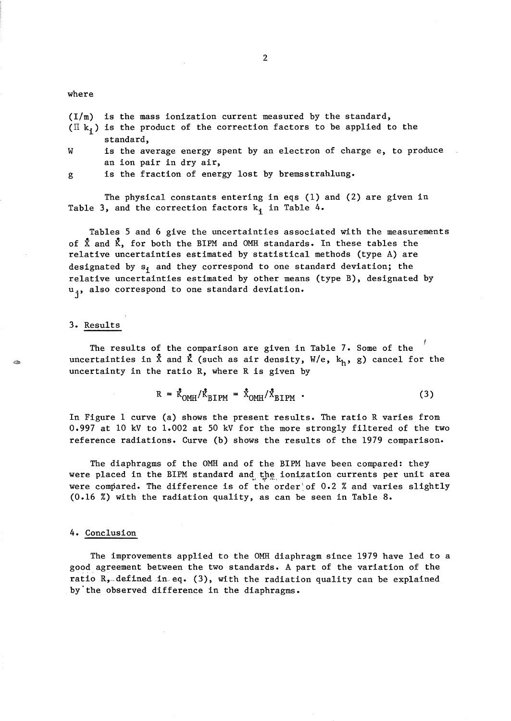#### where

*(I/m)* is the mass ionization current measured by the standard, (II  $k_i$ ) is the product of the correction factors to be applied to the standard, W is the average energy spent by an electron of charge e, to produce

g is the fraction of energy lost by bremsstrahlung.

an ion pair in dry air,

The physical constants entering in eqs (1) and (2) are given in Table 3, and the correction factors  $k_i$  in Table 4.

Tables 5 and 6 give the uncertainties associated with the measurements of  $\bar{X}$  and  $\bar{K}$ , for both the BIPM and OMH standards. In these tables the relative uncertainties estimated by statistical methods (type A) are designated by  $s_i$  and they correspond to one standard deviation; the relative uncertainties estimated by other means (type B), designated by u<sub>i</sub>, also correspond to one standard deviation.

#### 3. Results

The results of the comparison are given in Table 7. Some of the uncertainties in  $\bar{x}$  and  $\bar{k}$  (such as air density,  $W/e$ ,  $k_h$ , g) cancel for the uncertainty in the ratio R, where R is given by

$$
R = \dot{K}_{OMH} / \dot{K}_{BIPM} = \dot{X}_{OMH} / \dot{X}_{BIPM}
$$
 (3)

In Figure 1 curve (a) shows the present results. The ratio R varies from 0.997 at 10 kV to 1.002 at 50 kV for the more strongly filtered of the two reference radiations. Curve (b) shows the results of the 1979 comparison.

The diaphragms of the OMH and of the BIPM have been compared: they were placed in the BIPM standard and the ionization currents per unit area were compared. The difference is of the order of  $0.2$  % and varies slightly  $(0.16 \t% )$  with the radiation quality, as can be seen in Table 8.

#### 4. Conclusion

The improvements applied to the OMH diaphragm since 1979 have led to a good agreement between the two standards. A part of the variation of the ratio  $R$ , defined in eq. (3), with the radiation quality can be explained by'the observed difference in the diaphragms.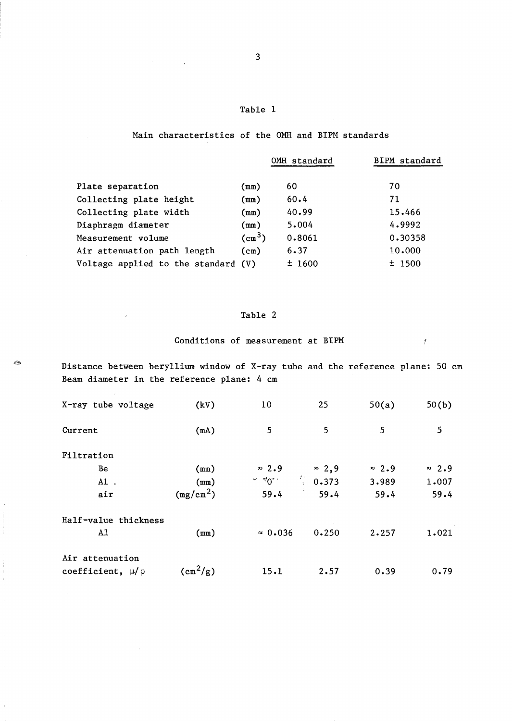### Main characteristics of the OMH and BIPM standards

|                                     |                    | OMH standard | BIPM standard |
|-------------------------------------|--------------------|--------------|---------------|
|                                     |                    |              |               |
| Plate separation                    | (mm)               | 60           | 70            |
| Collecting plate height             | (mm)               | 60.4         | 71            |
| Collecting plate width              | (mm)               | 40.99        | 15.466        |
| Diaphragm diameter                  | (mm)               | 5.004        | 4.9992        |
| Measurement volume                  | (cm <sup>3</sup> ) | 0.8061       | 0.30358       |
| Air attenuation path length         | (cm)               | 6.37         | 10.000        |
| Voltage applied to the standard (V) |                    | ±1600        | $±$ 1500      |

# Table 2

Conditions of measurement at BIPM  $\bar{f}$ 

<sup>~</sup>Distance between beryllium window of X-ray tube and the reference plane: 50 cm Beam diameter in the reference plane: 4 cm

| X-ray tube voltage      | (kV)                               | 10              | 25                   | 50(a)         | 50(b)         |
|-------------------------|------------------------------------|-----------------|----------------------|---------------|---------------|
| Current                 | (mA)                               | 5               | 5                    | 5             | 5             |
| Filtration              |                                    |                 |                      |               |               |
| Be                      | (mm)                               | $\approx 2.9$   | $\approx 2,9$        | $\approx 2.9$ | $\approx 2.9$ |
| $A1$ .                  | (mm)                               | $\sim 40$       | $\frac{31}{3}$ 0.373 | 3.989         | 1.007         |
| air                     | (mg/cm <sup>2</sup> )              | 59.4            | 59.4                 | 59.4          | 59.4          |
| Half-value thickness    |                                    |                 |                      |               |               |
| A1                      | (mm)                               | $\approx 0.036$ | 0.250                | 2.257         | 1.021         |
| Air attenuation         |                                    |                 |                      |               |               |
| coefficient, $\mu/\rho$ | $\frac{1}{2}$ (cm <sup>2</sup> /g) | 15.1            | 2.57                 | 0.39          | 0.79          |

 $\mathcal{L}_{\mathcal{A}}$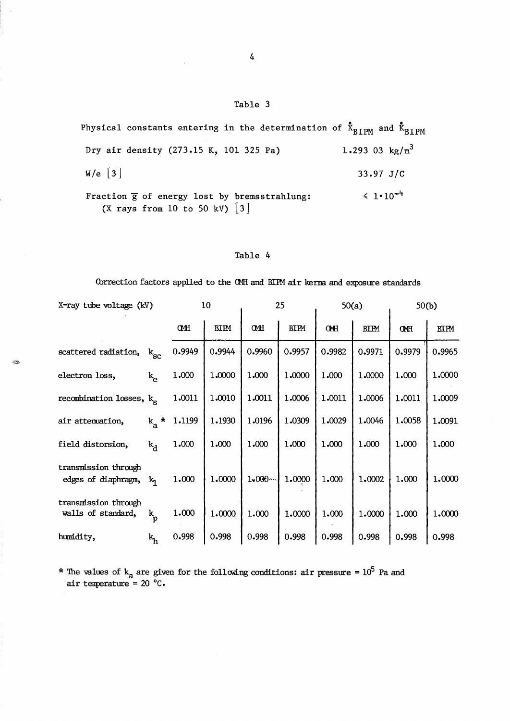Physical constants entering in the determination of  $\bar{x}_{\text{BIPM}}$  and  $\bar{k}_{\text{BIPM}}$ Dry air density (273.15 K, 101 325 Pa) 1.293 03  $\text{kg/m}^3$ W/e [3] 33.97 J/C  $\leq 1 \cdot 10^{-4}$ Fraction  $\overline{g}$  of energy lost by bremsstrahlung: (X rays from 10 to 50 kV)  $\begin{bmatrix} 3 \end{bmatrix}$ 

### Table 4

Correction factors applied to the CMH and BIFM air kerma and exposure standards

| X-ray tube voltage (kV)                           |                           |                | 10          |             | 25          |            | 50(a)       |            | 50(b)       |  |
|---------------------------------------------------|---------------------------|----------------|-------------|-------------|-------------|------------|-------------|------------|-------------|--|
|                                                   |                           | <b>CMH</b>     | <b>BIPM</b> | <b>CMH</b>  | <b>BIPM</b> | <b>CMH</b> | <b>BIPM</b> | <b>CMH</b> | <b>BIPM</b> |  |
| scattered radiation, $k_{\rm gc}$                 |                           | 0.9949         | 0.9944      | 0.9960      | 0.9957      | 0.9982     | 0.9971      | 0.9979     | 0.9965      |  |
| electron loss,                                    | $k_{\alpha}$              | 1.000          | 1.0000      | 1.000       | 1.0000      | 1.000      | 1.0000      | 1.000      | 1.0000      |  |
| recombination losses, k <sub>c</sub>              |                           | 1.0011         | 1.0010      | 1.0011      | 1.0006      | 1.0011     | 1.0006      | 1.0011     | 1.0009      |  |
| air attenuation,                                  |                           | $k_a * 1.1199$ | 1.1930      | 1.0196      | 1.0309      | 1.0029     | 1.0046      | 1.0058     | 1.0091      |  |
| field distorsion,                                 | $k_A$                     | 1.000          | 1.000       | 1.000       | 1.000       | 1.000      | 1.000       | 1.000      | 1.000       |  |
| transmission through<br>edges of diaphragm, $k_1$ |                           | 1.000          | 1.0000      | $1 - 000 -$ | 1.0000      | 1.000      | 1.0002      | 1.000      | 1.0000      |  |
| transmission through<br>walls of standard,        | $\mathbf{k}_{\mathbf{p}}$ | 1.000          | 1.0000      | 1.000       | 1.0000      | 1.000      | 1.0000      | 1.000      | 1.0000      |  |
| humidity,                                         | $k_h$                     | 0.998          | 0.998       | 0.998       | 0.998       | 0.998      | 0.998       | 0.998      | 0.998       |  |

\* The values of  $k_a$  are given for the following conditions: air pressure =  $10^5$  Pa and air temperature =  $20 °C$ .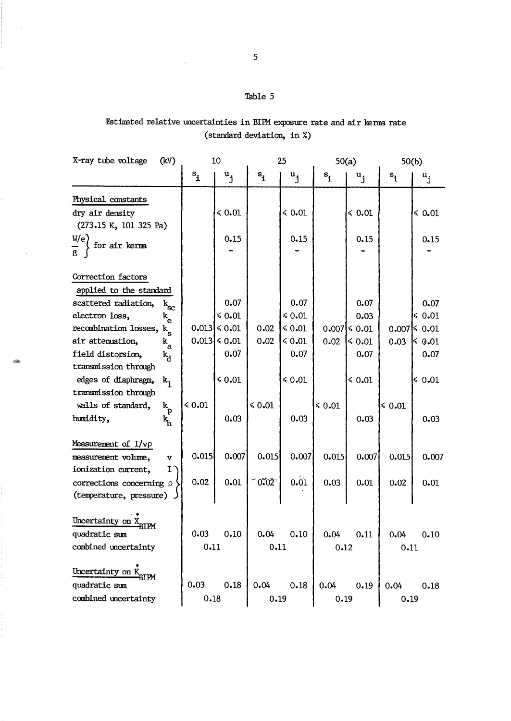# Estimated relative uncertainties in BIPM exposure rate and air kerma rate (standard deviation, in %)

| X-ray tube voltage<br>(kV)                                                                                                                                                                                                                                                                                                                                                                                             | 10                   |                                                                                     |                                                               | 25                                                                          |                | 50(a)                                                                                 |                    | 50(b)                                                                               |  |
|------------------------------------------------------------------------------------------------------------------------------------------------------------------------------------------------------------------------------------------------------------------------------------------------------------------------------------------------------------------------------------------------------------------------|----------------------|-------------------------------------------------------------------------------------|---------------------------------------------------------------|-----------------------------------------------------------------------------|----------------|---------------------------------------------------------------------------------------|--------------------|-------------------------------------------------------------------------------------|--|
|                                                                                                                                                                                                                                                                                                                                                                                                                        | $\mathbf{S_1}$       | $\mathbf{u}_{\mathbf{j}}$                                                           | $\mathbf{s}_{\mathbf{i}}$                                     | $\mathbf{u}_{\mathbf{j}}$                                                   | $s_{\dot{1}}$  | $\mathbf{u}_{\mathbf{j}}$                                                             | $\mathbf{s}_1$     | $u_{j}$                                                                             |  |
| Physical constants<br>dry air density<br>(273.15 K, 101 325 Pa)<br>W(e)<br>for air kerma                                                                                                                                                                                                                                                                                                                               |                      | $\leq 0.01$<br>0.15                                                                 |                                                               | $\le 0.01$<br>0.15                                                          |                | $\le 0.01$<br>0.15                                                                    |                    | \$0.01<br>0.15                                                                      |  |
| Correction factors<br>applied to the standard<br>scattered radiation,<br>$\mathbf{k}_{\rm sc}$<br>electron loss,<br>$\mathbf{k}_{\mathrm{e}}$<br>recombination losses, $k_g$<br>air attenuation,<br>$\mathbf{k}_{\rm a}$<br>field distorsion,<br>$k_{\rm A}$<br>transmission through<br>edges of diaphragm,<br>$k_{1}$<br>transmission through<br>walls of standard,<br>$\mathbf{k}_\mathrm{p}$<br>humidity,<br>k<br>h | 0.013<br>$\leq 0.01$ | 0.07<br>\$0.01<br>$\leq 0.01$<br>$0.013$ $\leq 0.01$<br>0.07<br>$\leq 0.01$<br>0.03 | 0.02<br>0.02<br>$\le 0.01$                                    | 0.07<br>\$0.01<br>$\leq 0.01$<br>$\leq 0.01$<br>0.07<br>$\leq 0.01$<br>0.03 | 0.02<br>\$0.01 | 0.07<br>0.03<br>$0.007$ $\leq 0.01$<br>$\leq 0.01$<br>0.07<br>$\leq 0.01$<br>$0 - 03$ | 0.03<br>$\le 0.01$ | 0.07<br>$\leq 0.01$<br>$0.007$ < 0.01<br>$\leq 0.01$<br>0.07<br>$\leq 0.01$<br>0.03 |  |
| Measurement of $I/\nu\rho$<br>measurement volume,<br>$\mathbf v$<br>ionization current,<br>I.<br>corrections concerning $\rho$<br>(temperature, pressure)                                                                                                                                                                                                                                                              | 0.015<br>0.02        | 0.007<br>0.01                                                                       | 0.015<br>$^{\prime\prime}$ 0 $\tilde{C}$ 02 $^{\prime\prime}$ | 0.007<br>0.01                                                               | 0.015<br>0.03  | 0.007<br>0.01                                                                         | 0.015<br>0.02      | 0.007<br>0.01                                                                       |  |
| Uncertainty on X<br>rtpm<br>quadratic sum<br>combined uncertainty<br>Uncertainty on K                                                                                                                                                                                                                                                                                                                                  | 0.03<br>0.11         | 0.10                                                                                | 0.04<br>0.11                                                  | 0.10                                                                        | 0.12           | $0.04$ $0.11$                                                                         | 0.04<br>0.11       | 0.10                                                                                |  |
| BIPM<br>quadratic sum<br>combined uncertainty                                                                                                                                                                                                                                                                                                                                                                          | 0.03<br>0.18         | 0.18                                                                                | 0.04<br>0.19                                                  | 0.18                                                                        | 0.04<br>0.19   | 0.19                                                                                  | 0.04<br>0.19       | 0.18                                                                                |  |

 $\bar{\lambda}$ 

 $\bar{z}$ 

 $\mathcal{L}$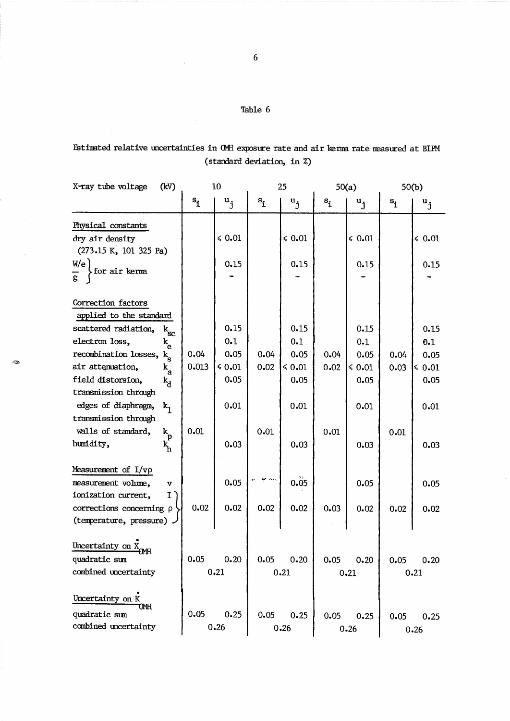# Estimated relative uncertainties in OMH exposure rate and air kerma rate measured at BIPM (standard deviation, in %)

| X-ray tube voltage<br>(kV)                                                                                                                                                                                                                                                                                                                                                                                        | 10                    |                                                            | 25                   |                                                            | 50(a)                |                                                            | 50(b)                |                                                           |
|-------------------------------------------------------------------------------------------------------------------------------------------------------------------------------------------------------------------------------------------------------------------------------------------------------------------------------------------------------------------------------------------------------------------|-----------------------|------------------------------------------------------------|----------------------|------------------------------------------------------------|----------------------|------------------------------------------------------------|----------------------|-----------------------------------------------------------|
|                                                                                                                                                                                                                                                                                                                                                                                                                   | $S_{\dot{1}}$         | $\mathbf{u}_{\mathbf{i}}$                                  | $s_{\underline{i}}$  | $\mathbf{u}_{\mathbf{i}}$                                  | $s_i$                | $\mathbf{u}_{\mathbf{j}}$                                  | $\mathbf{s}_1$       | $\mathbf{u}_{\mathbf{j}}$                                 |
| Physical constants<br>dry air density<br>(273.15 K, 101 325 Pa)                                                                                                                                                                                                                                                                                                                                                   |                       | $\leq 0.01$                                                |                      | $\leqslant 0.01$                                           |                      | $\leq 0.01$                                                |                      | $\le 0.01$                                                |
| W/e<br>for air kerma                                                                                                                                                                                                                                                                                                                                                                                              |                       | 0.15                                                       |                      | 0.15                                                       |                      | 0.15                                                       |                      | 0.15                                                      |
| Correction factors<br>applied to the standard<br>scattered radiation,<br>$\mathbf{k_{sc}}$<br>electron loss,<br>$\mathbf{k}_{\mathrm{e}}$<br>recombination losses, $k_g$<br>air attenuation,<br>$\mathbf{k}_{\mathbf{a}}$<br>field distorsion,<br>$k_d$<br>transmission through<br>edges of diaphragm,<br>$k_{1}$<br>transmission through<br>walls of standard,<br>$\mathbf{k}_\mathrm{p}$<br>humidity,<br>k<br>h | 0.04<br>0.013<br>0.01 | 0.15<br>0.1<br>0.05<br>$\leq 0.01$<br>0.05<br>0.01<br>0.03 | 0.04<br>0.02<br>0.01 | 0.15<br>0.1<br>0.05<br>$\leq 0.01$<br>0.05<br>0.01<br>0.03 | 0.04<br>0.02<br>0.01 | 0.15<br>0.1<br>0.05<br>$\leq 0.01$<br>0.05<br>0.01<br>0.03 | 0.04<br>0.03<br>0.01 | 0.15<br>0.1<br>0.05<br>$\le 0.01$<br>0.05<br>0.01<br>0.03 |
| Measurement of $I/v\rho$<br>measurement volume,<br>$\overline{\mathbf{v}}$<br>ionization current,<br>I.<br>corrections concerning p<br>(temperature, pressure).                                                                                                                                                                                                                                                   | 0.02                  | 0.05<br>0.02                                               | age come<br>0.02     | 0.05<br>0.02                                               | 0.03                 | 0.05<br>0.02                                               | 0.02                 | 0.05<br>0.02                                              |
| Uncertainty on X<br>quadratic sum<br>combined uncertainty                                                                                                                                                                                                                                                                                                                                                         | 0.05                  | 0.20<br>0.21                                               | 0.05                 | 0.20<br>0.21                                               | 0.05                 | 0.20<br>0.21                                               | 0.05                 | 0.20<br>0.21                                              |
| Uncertainty on K<br>OМH<br>quadratic sum<br>combined uncertainty                                                                                                                                                                                                                                                                                                                                                  | 0.05                  | 0.25<br>0.26                                               | 0.05                 | 0.25<br>0.26                                               | 0.05                 | 0.25<br>0.26                                               | 0.05                 | 0.25<br>0.26                                              |

 $\bar{\bar{z}}$ 

 $\hat{\mathcal{A}}$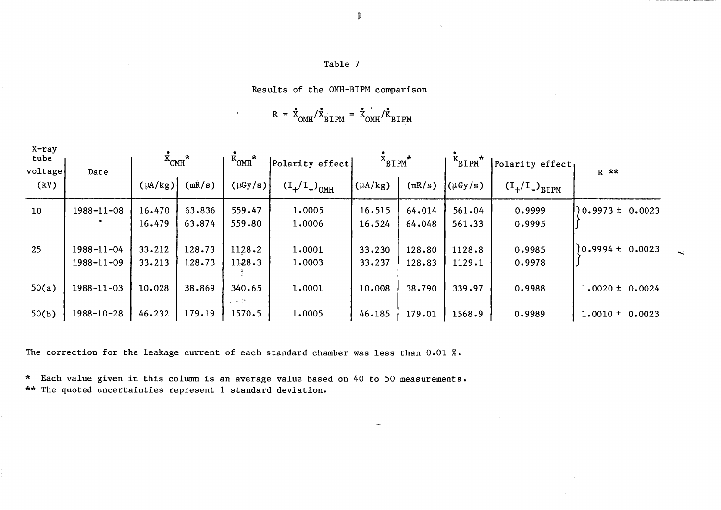Results of the OMH-BIPM comparison

Its of the OMH-BIPM comparis<br>R =  $\dot{\tilde{X}}_{\text{OMH}}/\dot{\tilde{X}}_{\text{BIPM}}$  =  $\dot{\tilde{K}}_{\text{OMH}}/\dot{\tilde{K}}_{\text{BIPM}}$ 

| $X$ -ray<br>tube<br>voltage | Date             | $\dot{x}_{OMH}$ * |        | $K_{OMH}^*$                                                              | Polarity effect | $X_{\text{BIPM}}^*$ |        | $K_{\text{BIPM}}^*$ | Polarity effect,                                                                              | $R$ **              |
|-----------------------------|------------------|-------------------|--------|--------------------------------------------------------------------------|-----------------|---------------------|--------|---------------------|-----------------------------------------------------------------------------------------------|---------------------|
| (kV)                        |                  | $(\mu A/kg)$      | (mR/s) | $(\mu Gy/s)$                                                             | $(1/1)^{OMH}$   | $(\mu A/kg)$        | (mR/s) | $(\mu Gy/s)$        | $\left(\begin{smallmatrix} \mathbf{I}_+ / \mathbf{I}_-\end{smallmatrix}\right)_{\text{BIPM}}$ |                     |
| 10 <sub>1</sub>             | $1988 - 11 - 08$ | 16.470            | 63.836 | 559.47                                                                   | 1.0005          | 16.515              | 64.014 | 561.04              | 0.9999                                                                                        | $0.9973 \pm 0.0023$ |
|                             | $\cdots$         | 16.479            | 63.874 | 559.80                                                                   | 1,0006          | 16.524              | 64.048 | 561.33              | 0.9995                                                                                        |                     |
| 25                          | $1988 - 11 - 04$ | 33.212            | 128.73 | 1128.2                                                                   | 1.0001          | 33.230              | 128.80 | 1128.8              | 0.9985                                                                                        | $0.9994 \pm 0.0023$ |
|                             | 1988-11-09       | 33.213            | 128.73 | 1128.3                                                                   | 1.0003          | 33.237              | 128.83 | 1129.1              | 0.9978                                                                                        |                     |
| 50(a)                       | 1988-11-03       | 10.028            | 38.869 | 340.65<br>$\varphi_{\rm{max}}$ , and $\frac{m_{\rm{max}}}{m_{\rm{max}}}$ | 1.0001          | 10.008              | 38.790 | 339.97              | 0.9988                                                                                        | $1.0020 \pm 0.0024$ |
| 50(b)                       | $1988 - 10 - 28$ | 46.232            | 179.19 | 1570.5                                                                   | 1.0005          | 46.185              | 179.01 | 1568.9              | 0.9989                                                                                        | $1.0010 \pm 0.0023$ |

 $\rightarrow$ 

 $\overline{\phantom{0}}$ 

The correction for the leakage current of each standard chamber was less than 0.01 %.

\* Each value given in this column is an average value based on 40 to 50 measurements. \*\* The quoted uncertainties represent 1 standard deviation.

**&**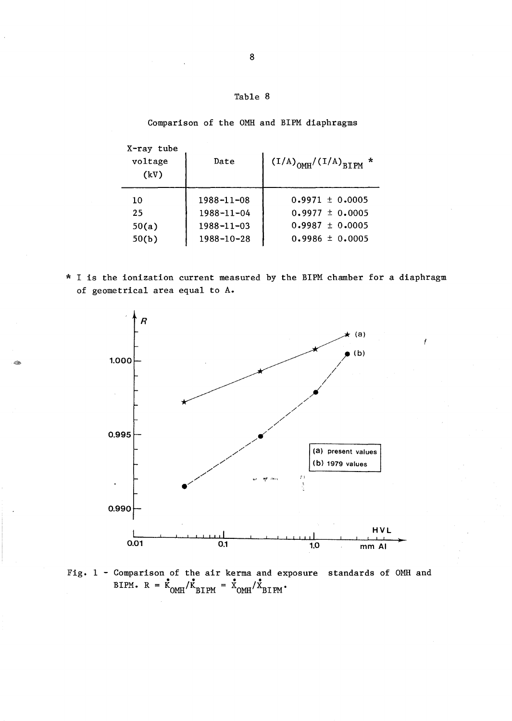Comparison of the OMH and BIPM diaphragms

| X-ray tube<br>voltage<br>(kV) | Date             | $(1/A)_{OMH}/(1/A)_{BTHM}$ * |
|-------------------------------|------------------|------------------------------|
| 10                            | $1988 - 11 - 08$ | $0.9971 \pm 0.0005$          |
| 25                            | $1988 - 11 - 04$ | $0.9977 \pm 0.0005$          |
| 50(a)                         | $1988 - 11 - 03$ | $0.9987 \pm 0.0005$          |
| 50(b)                         | 1988-10-28       | $0.9986 \pm 0.0005$          |

\* I is the ionization current measured by the BIPM chamber for a diaphragm of geometrical area equal to A.



Fig. 1 - Comparison of the air kerma and exposure standards of OMH and Comparison of the air kerma and ex<br>BIPM.  $R = \frac{\dot{X}_{OMH}}{\dot{X}_{BIPM}} = \frac{\dot{X}_{OMH}}{\dot{X}_{BIPM}}$ .

8